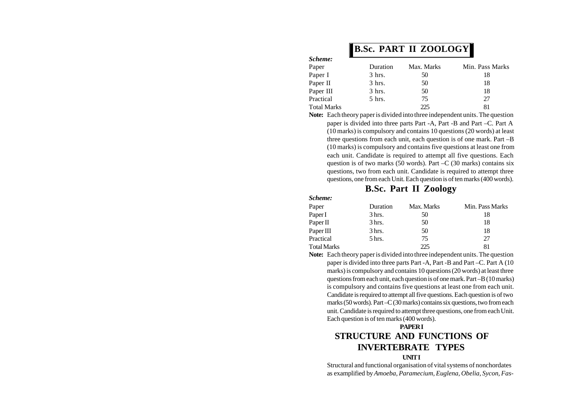# **B.Sc. PART II ZOOLOGY**

| Scheme:            |                  |            |                 |
|--------------------|------------------|------------|-----------------|
| Paper              | Duration         | Max. Marks | Min. Pass Marks |
| Paper I            | $3 \text{ hrs.}$ | 50         | 18              |
| Paper II           | $3 \text{ hrs.}$ | 50         | 18              |
| Paper III          | $3$ hrs.         | 50         | 18              |
| Practical          | 5 hrs.           | 75         | 27              |
| <b>Total Marks</b> |                  | 225        |                 |

**Note:** Each theory paper is divided into three independent units. The question paper is divided into three parts Part -A, Part -B and Part –C. Part A (10 marks) is compulsory and contains 10 questions (20 words) at least three questions from each unit, each question is of one mark. Part –B (10 marks) is compulsory and contains five questions at least one from each unit. Candidate is required to attempt all five questions. Each question is of two marks (50 words). Part –C (30 marks) contains six questions, two from each unit. Candidate is required to attempt three questions, one from each Unit. Each question is of ten marks (400 words).

### **B.Sc. Part II Zoology**

#### *Scheme:*

| Paper       | Duration | Max. Marks | Min. Pass Marks |
|-------------|----------|------------|-----------------|
| Paper I     | 3 hrs.   | 50         | 18              |
| Paper II    | 3 hrs.   | 50         | 18              |
| Paper III   | 3 hrs.   | 50         | 18              |
| Practical   | 5 hrs.   | 75         | 27              |
| Total Marks |          | 225        | 81              |

**Note:** Each theory paper is divided into three independent units. The question paper is divided into three parts Part -A, Part -B and Part –C. Part A (10 marks) is compulsory and contains 10 questions (20 words) at least three questions from each unit, each question is of one mark. Part –B (10 marks) is compulsory and contains five questions at least one from each unit. Candidate is required to attempt all five questions. Each question is of two marks (50 words). Part –C (30 marks) contains six questions, two from each unit. Candidate is required to attempt three questions, one from each Unit. Each question is of ten marks (400 words).

### **PAPER I STRUCTURE AND FUNCTIONS OF INVERTEBRATE TYPES UNIT I**

Structural and functional organisation of vital systems of nonchordates as examplified by *Amoeba, Paramecium, Euglena, Obelia, Sycon, Fas-*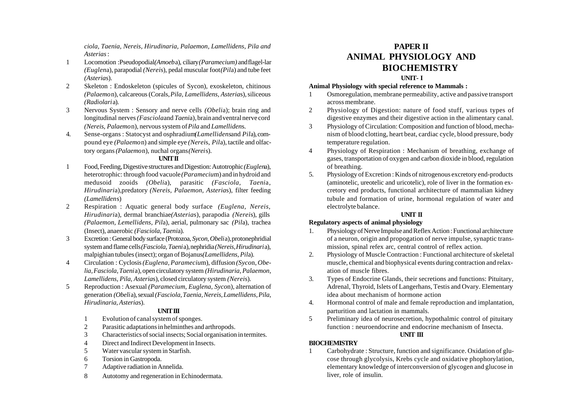*ciola, Taenia, Nereis, Hirudinaria, Palaemon, Lamellidens, Pila and Asterias* :

- 1 Locomotion :Pseudopodial*(Amoeb*a), ciliary *(Paramecium)* and flagel-lar *(Euglen*a), parapodial *(Nerei*s), pedal muscular foot *(Pil*a) and tube feet *(Asteria*s).
- 2 Skeleton : Endoskeleton (spicules of Sycon), exoskeleton, chitinous *(Palaemo*n), calcareous (Corals, *Pila, Lamellidens, Asteria*s), siliceous *(Radiolari*a).
- 3 Nervous System : Sensory and nerve cells *(Obeli*a); brain ring and longitudinal nerves *(Fasciola*and *Taeni*a), brain and ventral nerve cord *(Nereis, Palaemo*n), nervous system of *Pila* and *Lamelliden*s.
- 4. Sense-organs : Statocyst and osphradium*(Lamellidens*and *Pil*a), compound eye *(Palaemo*n) and simple eye *(Nerei*s, *Pil*a), tactile and olfactory organs *(Palaemo*n), nuchal organs *(Nerei*s).

#### **UNIT II**

- 1 Food, Feeding, Digestive structures and Digestion: Autotrophic *(Euglen*a), heterotrophic: through food vacuole *(Parameciu*m) and in hydroid and medusoid zooids *(Obeli*a), parasitic *(Fasciola, Taeni*a, *Hirudinari*a),predatory *(Nereis, Palaemon, Asteria*s), filter feeding *(Lamelliden*s)
- 2 Respiration : Aquatic general body surface *(Euglena, Nereis, Hirudinari*a), dermal branchiae*(Asteria*s), parapodia *(Nerei*s), gills *(Palaemon, Lemellidens, Pil*a), aerial, pulmonary sac *(Pil*a), trachea (Insect), anaerobic *(Fasciola, Taeni*a).
- 3 Excretion : General body surface (Protozoa, *Sycon, Obeli*a), protonephridial system and flame cells *(Fasciola, Taeni*a), nephridia *(Nereis, Hirudinari*a), malpighian tubules (insect); organ of Bojanus*(Lamellidens, Pil*a).
- 4 Circulation : Cyclosis *(Euglena, Parameciu*m), diffusion *(Syco*n, *Obelia, Fasciola, Taeni*a), open circulatory system *(Hirudinaria, Palaemon, Lamellidens, Pila, Asteria*s), closed circulatory system *(Nerei*s).
- 5 Reproduction : Asexual *(Paramecium, Euglena, Syco*n), alternation of generation *(Obeli*a), sexual *(Fasciola, Taenia, Nereis, Lamellidens, Pila, Hirudinaria, Asteria*s).

#### **UNIT III**

- 1 Evolution of canal system of sponges.
- 2 Parasitic adaptations in helminthes and arthropods.
- 3 Characteristics of social insects; Social organisation in termites.
- 4 Direct and Indirect Development in Insects.
- 5 Water vascular system in Starfish.
- 6 Torsion in Gastropoda.
- 7 Adaptive radiation in Annelida.
- 8 Autotomy and regeneration in Echinodermata.

# **PAPER II ANIMAL PHYSIOLOGY AND BIOCHEMISTRY**

#### **UNIT- I**

#### **Animal Physiology with special reference to Mammals :**

- 1 Osmoregulation, membrane permeability, active and passive transport across membrane.
- 2 Physiology of Digestion: nature of food stuff, various types of digestive enzymes and their digestive action in the alimentary canal.
- 3 Physiology of Circulation: Composition and function of blood, mechanism of blood clotting, heart beat, cardiac cycle, blood pressure, body temperature regulation.
- 4 Physiology of Respiration : Mechanism of breathing, exchange of gases, transportation of oxygen and carbon dioxide in blood, regulation of breathing.
- 5. Physiology of Excretion : Kinds of nitrogenous excretory end-products (aminotelic, ureotelic and uricotelic), role of liver in the formation excretory end products, functional architecture of mammalian kidney tubule and formation of urine, hormonal regulation of water and electrolyte balance.

#### **UNIT II**

#### **Regulatory aspects of animal physiology**

- 1. Physiology of Nerve Impulse and Reflex Action : Functional architecture of a neuron, origin and propogation of nerve impulse, synaptic transmission, spinal refex arc, central control of reflex action.
- 2. Physiology of Muscle Contraction : Functional architecture of skeletal muscle, chemical and biophysical events during contraction and relaxation of muscle fibres.
- 3. Types of Endocrine Glands, their secretions and functions: Pituitary, Adrenal, Thyroid, Islets of Langerhans, Testis and Ovary. Elementary idea about mechanism of hormone action
- 4. Hormonal control of male and female reproduction and implantation, parturition and lactation in mammals.
- 5 Preliminary idea of neurosecretion, hypothalmic control of pituitary function : neuroendocrine and endocrine mechanism of Insecta. **UNIT III**

#### **BIOCHEMISTRY**

1 Carbohydrate : Structure, function and significance. Oxidation of glucose through glycolysis, Krebs cycle and oxidative phophorylation, elementary knowledge of interconversion of glycogen and glucose in liver, role of insulin.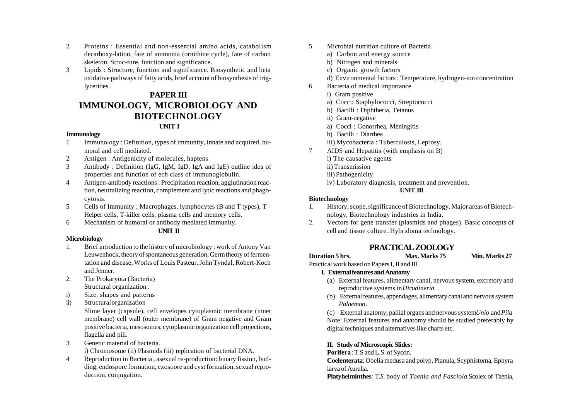- 2. Proteins : Essential and non-essential amino acids, catabolism decarboxy-lation, fate of ammonia (ornithine cycle), fate of carbon skeleton. Struc-ture, function and significance.
- 3 Lipids : Structure, function and significance. Biosynthetic and beta oxidative pathways of fatty acids, brief account of biosynthesis of triglycerides.

### **PAPER III IMMUNOLOGY, MICROBIOLOGY AND BIOTECHNOLOGY UNIT I**

#### **Immunology**

- 1 Immunology : Definition, types of immunity, innate and acquired, humoral and cell mediated.
- 2 Antigen : Antigenicity of molecules, haptens
- 3 Antibody : Definition (IgG, IgM, IgD, IgA and IgE) outline idea of properties and function of ech class of immunoglobulin.
- 4 Antigen-antibody reactions : Precipitation reaction, agglutination reaction, neutralizing reaction, complement and lytic reactions and phagocytosis.
- 5 Cells of Immunity ; Macrophages, lymphocytes (B and T types), T Helper cells, T-killer cells, plasma cells and memory cells.
- 6 Mechanism of humoral or antibody mediated immunity.

#### **UNIT II**

#### **Microbiology**

- 1. Brief introduction to the history of microbiology : work of Antony Van Leuwenhock, theory of spontaneous generation, Germ theory of fermentation and disease, Works of Louis Pasteur, John Tyndal, Robert-Koch and Jenner.
- 2. The Prokaryota (Bacteria) Structural organization :
- i) Size, shapes and patterns
- ii) Structural organization

Slime layer (capsule), cell envelopes cytoplasmic membrane (inner membrane) cell wall (outer membrane) of Gram negative and Gram positive bacteria, mesosomes, cytoplasmic organization cell projections, flagella and pili.

3. Genetic material of bacteria.

i) Chromosome (ii) Plasmids (iii) replication of bacterial DNA.

4 Reproduction in Bacteria , asexual re-production: binary fission, budding, endospore formation, exospore and cyst formation, sexual reproduction, conjugation.

- 5 Microbial nutrition culture of Bacteria
	- a) Carbon and energy source
	- b) Nitrogen and minerals
	- c) Organic growth factors
	- d) Environmental factors : Temperature, hydrogen-ion concentration
- 6 Bacteria of medical importance
	- i) Gram positive
	- a) Cocci: Staphylococci, Streptococci
	- b) Bacilli : Diphtheria, Tetanus
	- ii) Gram-negative
	- a) Cocci : Gonorrhea, Meningitis
	- b) Bacilli : Diarrhea
	- iii) Mycobacteria : Tuberculosis, Leprosy.
- 7 AIDS and Hepatitis (with emphasis on B)
	- i) The causative agents
	- ii) Transmission
	- iii) Pathogenicity
	- iv) Laboratory diagnosis, treatment and prevention.

#### **UNIT III**

#### **Biotechnology**

- 1. History, scope, significance of Biotechnology. Major areas of Biotechnology, Biotechnology industries in India.
- 2. Vectors for gene transfer (plasmids and phages). Basic concepts of cell and tissue culture. Hybridoma technology.

### **PRACTICAL ZOOLOGY**

- **Duration 5 hrs. Max. Marks 75 Min. Marks 27**
- Practical work based on Papers I, II and III

#### **I. External features and Anatomy**

- (a) External features, alimentary canal, nervous system, excretory and reproductive systems in *Hirudineria.*
- (b) External features, appendages, alimentary canal and nervous system *Palaemon*.

(c) External anatomy, pallial organs and nervous system*Unio* and *Pila* Note: External features and anatomy should be studied preferably by digital techniques and alternatives like charts etc.

#### **II. Study of Microscopic Slides:**

**Porifera** : T.S and L.S. of Sycon.

**Coelenterata**: Obelia medusa and polyp, Planula, Scyphistoma, Ephyra larva of Aurelia.

**Platyhelminthes**: T.*S.* body of *Taenia and Fasciola.*Scolex of Taenia,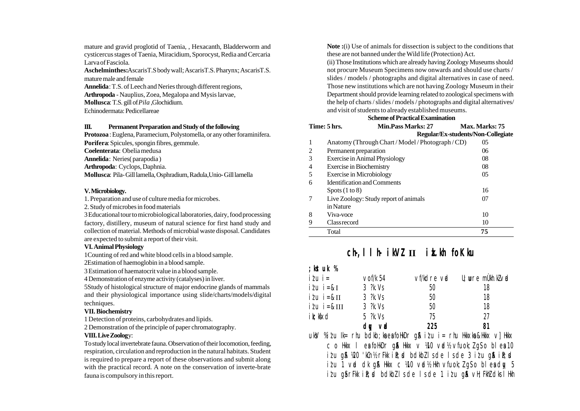mature and gravid proglotid of Taenia, , Hexacanth, Bladderworm and cysticercus stages of Taenia, Miracidium, Sporocyst, Redia and Cercaria Larva of Fasciola.

**Aschelminthes:**AscarisT.S body wall; AscarisT.S. Pharynx; AscarisT.S. mature male and female

**Annelida**: T.S. of Leech and Neries through different regions,

**Arthropoda** - Nauplius, Zoea, Megalopa and Mysis larvae,

**Mollusca**: T.S. gill of *Pila* ,Glochidium.

Echinodermata: Pedicellareae

#### **III. Permanent Preparation and Study of the following**

**Protozoa** : Euglena, Paramecium, Polystomella, or any other foraminifera. **Porifera**: Spicules, spongin fibres, gemmule.

**Coelenterata**: Obelia medusa

**Annelida**: Neries( parapodia )

**Arthropoda**: Cyclops, Daphnia.

**Mollusca**: Pila- Gill lamella, Osphradium, Radula,Unio- Gill lamella

#### **V. Microbiology.**

1. Preparation and use of culture media for microbes.

2. Study of microbes in food materials

3 Educational tour to microbiological laboratories, dairy, food processing factory, distillery, museum of natural science for first hand study and collection of material. Methods of microbial waste disposal. Candidates are expected to submit a report of their visit.

#### **VI. Animal Physiology**

1Counting of red and white blood cells in a blood sample.

2Estimation of haemoglobin in a blood sample.

3 Estimation of haematocrit value in a blood sample.

4 Demonstration of enzyme activity (catalyses) in liver.

5Study of histological structure of major endocrine glands of mammals and their physiological importance using slide/charts/models/digital techniques.

#### **VII. Biochemistry**

1 Detection of proteins, carbohydrates and lipids.

2 Demonstration of the principle of paper chromatography.

#### **VIII. Live Zoolog**y:

To study local invertebrate fauna. Observation of their locomotion, feeding, respiration, circulation and reproduction in the natural habitats. Student is required to prepare a report of these observations and submit along with the practical record. A note on the conservation of inverte-brate fauna is compulsory in this report.

**Note :**(i) Use of animals for dissection is subject to the conditions that these are not banned under the Wild life (Protection) Act.

(ii) Those Institutions which are already having Zoology Museums should not procure Museum Specimens now onwards and should use charts / slides / models / photographs and digital alternatives in case of need. Those new institutions which are not having Zoology Museum in their Department should provide learning related to zoological specimens with the help of charts / slides / models / photographs and digital alternatives/ and visit of students to already established museums.

#### **Scheme of Practical Examination**

#### **Time: 5 hrs. Min.Pass Marks: 27 Max. Marks: 75 Regular/Ex-students/Non-Collegiate**

|   | Total                                       | 75             |
|---|---------------------------------------------|----------------|
| 9 | Classrecord                                 | 10             |
| 8 | Viva-voce                                   | 10             |
|   | in Nature                                   |                |
| 7 | Live Zoology: Study report of animals       | 07             |
|   | Spots $(1 to 8)$                            | 16             |
| 6 | <b>Identification and Comments</b>          |                |
| 5 | <b>Exercise in Microbiology</b>             | 0 <sub>5</sub> |
| 4 | <b>Exercise in Biochemistry</b>             | 08             |
| 3 | <b>Exercise in Animal Physiology</b>        | 08             |
| 2 | Permanent preparation                       | 06             |
| 1 | Anatomy (Through Chart/Model/Photograph/CD) | 05             |
|   |                                             |                |

# **ch-,llh- ikVZ II izk.kh foKku**

### **;kstuk %**

| $i$ tu i =        | $\vee$ of/k 54        | vf/kdre vid | $\mathsf{U}$ ; wre mukh.kl $\vee$ id                                                                 |
|-------------------|-----------------------|-------------|------------------------------------------------------------------------------------------------------|
| $i\ell u$ $i = &$ | $3$ $?k$ . Vs         | 50          | 18                                                                                                   |
| $i$ lu $i = 8$ II | $3 \frac{7}{10}$ . Vs | 50          | 18                                                                                                   |
| $i\ell u$ i=&III  | $3 \frac{?}{k}$ . Vs  | 50          | 18                                                                                                   |
| ik; kfxd          | $5$ $?k$ . Vs         | 75          | 27                                                                                                   |
|                   | dw vol                | 225         | 81                                                                                                   |
|                   |                       |             | اللافان اللافان اللافان في المستحدث المستحدث المستحدث المستحدث المستحدث المستحدث المستحدث المستحدث ا |

 $uk$ V % $it$ u Ik $=$ rhu b $dk$ b;ka ea fo $dk$ Dr q $\alpha$  i $tu$  i $=$ rhu Hkkxka &Hkkx v] Hkkx c o Hkkx I esa foHkDr g $\beta$  Hkkx  $\vee$   $\frac{100}{100}$  vad $\frac{1}{2}$  vfuok;  $\frac{100}{100}$  esa 10  $i$ lu g $\Re$   $\Re$ 0 'kCn½ rFkk i $\Re$ ; d bdkbZ ls de ls de 3 i $i$ u g $\Re$  i $\Re$ ; d  $i$  i  $i$  u 1 vad dk g & Hkkx c ¼0 vad½ Hkh vfuok;  $i$  g s o bleadly 5  $i$ lu g $\delta$ rFkk i $\ell$ ; d bdkb $\ell$ ls de ls de 1 i $\ell$ u g $\delta$  vH; FkhZ dks lHkh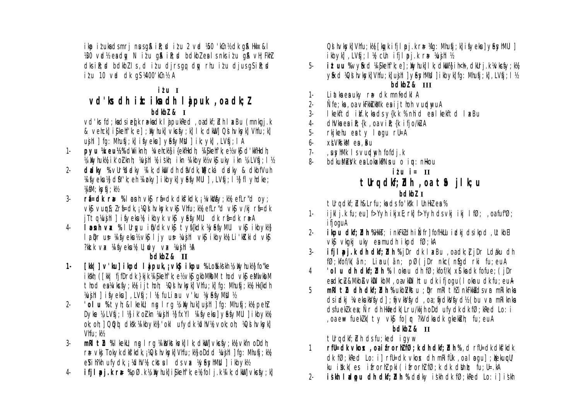ikp ituksdsmrj nusgå ilt; d itu 2 vid 450 'kCn½ dk gå Hkkx&l 160 voll ea day N itu qui ile; cl bolkbleals nks itu qui vH; Fkhl  $dk$  i $k$ ;  $d$  bdkblls, ditu dirsqq day rhu itu djusqsik; d  $i\ell$ u 10 vrd dk q $S$  ¼400'k $cn$ ½ A

## $i$   $t$   $u$   $I$

### vd'ks dh ik: ika dh I jpuk, oa dk; l  $bdkb2 & I$

vd'k fd; kadsiefk rakadk I apukked, oadkf; bl I xBu (mnkgj.k & vehck] i \$kehf'k; e]; ityhuk] vkc\$y; k] I k; dkiW] Q\$ hvksyk] Vhfu; k] ujhl | fq: Mhufi; k| ifvekul v&fvMUI | ik; vk| , LVfi; I A

- DVU **Weuz**% divi kni: Welcky i fekfikdh: Vi Skelf'k: el/vkS d'kufikdh:  $1 -$ W Novhukly ik' oi knh; Yusihl Yi iskh; ikn Yi kbokly oks uko ikn Y<sub>3</sub> LVsj; I Y2
- dalky % vür%dalky ¼ k; dkw dh divdk, w cká dalky & dkbfVuh  $2 -$ Wifyekul dfY'k; et Widky| ikbyk| yêfyMUI | , LVfi : I M fl vtdke : VifM: ksvfi : k½
- $\mathcal{E}$ vký vuný; z rí=dk, j XQs hvkyk vký Vhfu; ky efLr"d vký v/kj rí=dk jTtq Yujhl | ifyekuY ikbyk vkj yêfyMUI dk ri=dk r&A
- I anh va % I Urivu i fivdk vkj tyffkdk kvefymul vkj i kbykk  $4$ la pr us kifyekuk vkf ljy us kujhl vkf ikbykk Li'kKkid vkf ?kk.k vx ¼fvekul l; idy vx ¼ujhl ¼A

# $bdkb2 &$ II

- **[kk]] v'ku] ikpd I apuk, ; vkg ikpu %Lo% ks kh % ) Nyhukk}** fo "ke  $1$ ikskh; ([kk| fifDrdk }kjk ¼i\$kehf'k; e½ vk\$ gkbMkbM thod vk\$ e&Nl kbM thod ealwkcfy; ky ijthoh; kQs hvksyk] Vhfu; k] fq: Mhufi; ky Hk{kdh Wujhl | ifyeku | LVfi : I % fulinu v'ku ky&fyMbl %
- 'olu %tyh; &lkekU; ng Irq % Wyhuklujhl 1 fq: Mhufi; k) (peh)  $2 -$ Dyke ¼ LVfi ; I ½ i k' oi kn ¼ ji hl ½ fxYl ¼ fyekul yêfyMUI | i kbyk¼ ok; oh; 1 QQ4 dkkk ¼ kbyk½ 'okl ufydk ¼dhV½ vok; oh; ¼Q4 hvkyk]  $V$ hf $u:$   $k$ <sup> $\frac{1}{2}$ </sup>
- mrl tu %I keku; ng I rq %i kukstkork] I k; dkilli vkcfy; ki ykfn oDdh;  $\overline{3}$ r = vkj Tokyk dkf kdk, i XQs hvksyk) Vhfu; ky oDdd Xujhl | fg: Mhufi; ky eyih?kh ufydk, j %dhV% ckstul ds vx ¼yesyhMNI] ikbyk½
- ifji pj.k ræ %pØ.k ¼ Nyhuk| i\$kehfk; e½ fol j.k ¼ k; dkW| vkcfy; k|  $\overline{4}$

Od hvkyk $\vert$  Vhfu; k $\mathcal{U}$  [kg/k ifj]  $p$ j.k r $\ast$   $\mathcal{U}$ g: Mhufj; k $\vert$  ifyeku $\vert$  y $\mathcal{E}$ syh $\mathcal{U}$ WI]  $\vert$ ikbyk],LVfj;I¼ cUn ifjIpoj.k ra⊨ ¼u.jhl½

- **ituu %vy&d¼\$kehfk; e];)kyhuk]lk; dkW{lik}ih<h, dkUrj.k¼kcfy; k}{** 5yixd XQs hvkyk) Vhfu; k) ujhl ] yisyhMbl ] i kbyk) fq: Mhufi; k), LVfi; l ½ bdkbl & III
- Liatka ea uky ra dk mnfodkl A  $\mathbf{1}$
- Ñfe; ka , oa vkFkki kMk ea i j thoh vurdnyuA  $2 -$
- $\overline{3}$ I kelftd itf.k; ka ds y{k.k % nhid eal kelftd I axBu
- $4$  $dhV$ ka ea i $R$ ; {k , oa  $\vee$ i $R$ ; {k ifjo/kUA
- rkikehu esty logu rU=A  $5 -$
- $6$ xt Vki kM ea Bu
- $7-$ , usytMk Is vurdtyt fofdj.k
- bolkuMeVk esLokakPNnu o ju: nłkou  $8 -$

### $i \ell u$   $i = \Pi$

# tUrq dkf; dh, oa th jlk; u

### $bdkb2I$

tUrq dkf; blh&Lrfu; ka ds fo'kk I UnHkl ea %

- ijklj.k fu; eu] f>Yyh ikjxE; rk] f>Yyh ds ykj ikj  $1$  fØ; oa fuf%;  $1$ ifjoguA
- ikpu dkf; bh %HkkJ; inkFkJdh iÑfr] fofHklu idkj dsikpd, lltkbEl  $2$ vký vkaki uky en mudh i kpd fØ; kA
- ifil pi.k dh dkf; bh %jDr dk I xBu , oa dk; l jDr Ldaku dh  $\mathcal{L}$ fØ; kfof/k ân; Linu (ân; pØ (jDr nkc (nfigd rki fu; euA
- 'olu dh dkf; but % I okru dh fØ; kfof/k(xj ka dk fofue; (jDr  $\overline{4}$ eaclicLL&Mikb&vkDlkbM, oavkDlhtuck ifioqu(Iokruck fu: euA
- mRI tu dh dkf; bh % ukbi/kstu ; Dr mRI th i nkFkkid ds vr mRi knka  $5<sup>1</sup>$ dsidkj WekukVfyd]; fijvkVfyd, oa; fijdkVfyd½ (bu vr mRiknka dsfuelulk en: Nr dh Hkifedk Lru/kkih oDd ufydk dk fØ; kRed Lo: i , oa e⊯ fueklk( ty vk\$ fo | r ?kVdka dk gkekiluh; fu; euA

### bdkbl & II

turn dkf: blh ds fu: ked javw

- $rfl=dk$  vkos , oai frorh $lfg$ ; k dh dkf; dh %, d  $rl=dk$  dkf kdk  $\overline{1}$  $dk$  fø $k$  k $k$ ed Lo: i I rfl=dk vko $x$  dh m $k$ i f $\lambda$ k oa I naul : Kekurll/ ku i kk k es i frorhl pki (i frorhl f $\emptyset$ ; k dk dkhb; fu; l= kA
- iskh ladou dh dkf; buh % dadky iskh dk fØ; kRed Lo: i] iskh  $2 -$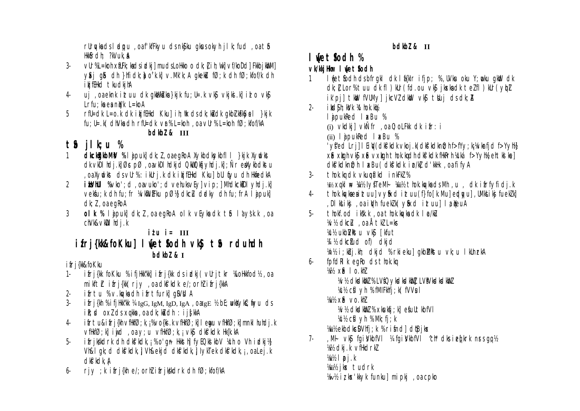rurykads I adipu, oa fikifkyu ds nkjiku gkusokyh ji k; fud, oa tib Hkk&rdh; ?kVuk, &

- VIr%L=koh xfUFk; kadsidki] mudsLoHko o dk; [ih; |k| vf/koDd] Fkkbjk\M]  $\overline{3}$  $\sqrt{x}$ i qos dh }hfidk; orkkov. Mkk; A qkeku fø; k dh fø; kfof/k dh ikjfHkd tkudkjhA
- uj oa eknkirtuu dk gkkbkkuka }kjk fu; U= k vk\$ vkjksi k}id o vk\$ 4- $Lrfu$ : ka ea nu $k$   $L=$ koA
- $5^{\circ}$ rfl=dk L=o.k dk i kiftHkd Kkul i h; tk ds dk; kidk akbi kFKyel }kik  $f u$ ; U=  $K$  clivk clin rfu=clk vr% L=koh, oa vur% L=koh fø; kfof/kA bdkbl & III

# $\tau$  ilk; u %

- **dkckigkbMV %I apukl dk**: 1, oa eqRoA Xykbdkykbfl I }kik Xyvdkst  $\mathbf{1}$ dk vkDI hdj.k| Øs pØ, oavkDI hdkjd QkllQk6j yhdj.k|; Ñr eakykbdkstu. , oa Xyvolkst ds vUr%: i kUrj.k dk i kjfEHkd Kku] bUI fiyu dh HkfiedkA
- its/hul %vko'; d, oavuko'; d vehuksv[y] vip; ] MhdkckDl yhdj.k]  $\mathfrak{D}$ vekfu; k dh fu; fr ¼wkfluffku pؼ dkcLu drdkv dh fu; frA I i pukl  $dk: l \cdot$  oa eako $A$
- olk % lipuk dk; l, oa egkoA olk vEyka dk tô làysk.k, oa  $\mathcal{S}$ chVk&vkDI hdi.k

```
itu i= III
```
# ifri{kk&foKku] IvetSodh vkj to rduhdh  $bdkb2 & I$

### ifri{kk&foKku

- ifrj{kk foKku % ifjHkk"kk] ifrj{kk ds idkj( vUrjtkr %LoHkkfod½, oa  $1$ mikfth ifri{kk(riy, oadks'kdke/; orhlifri{kkA
- ifrtu %v.kykadh ifrtfurk] gSVNIA  $2 -$
- $ifri$ {kh % $ifif$ |Hkk"kk % IgG, IgM, IgD, IgA, OaIgE % bE; when  $x$  if  $y$ u ds  $\overline{3}$ ik; d oxl ds xqkka, oa dk; ka dh : ijs[kkA
- ifrtu&ifrj{kh vfHkfØ; k, ¡%vo{ki .k vfHkfØ; k] I eqqu vfHkfØ; k] mnkl huhdj.k  $\overline{4}$ vfHkfØ; k] i ujd, oa y; u vfHkfØ; k, <sub>i</sub> vk**j**, dkf'kdk, Hkfk.kA
- ifrikkdrk dh dkfkdk, i % o'gn Hksth fyEQkl kbV % ch o Vh idki)} 5. Vh&I ak; d dkf'kdk, I Vh&ekja dkf'kdk, I I vkTek dkf'kdk, i , oa Lej. k dkf'kdk, A
- riy : k ifri{kh e/; orhl ifrikkdrk dh fØ; kfof/kA 6

### bdkbl & II

# I wetsodh %

# vk/kkjHkur I wetSodh

- I wetfodh dsbfrakl dk I fikkir ifip; %, UVku oku Y; woku akWd dk  $\mathbf{1}$ dk; [ Lor% tuu dk fl ) kUr( fd ou vkj jkskadk telfl ) kUr( ybl ik'pi] tkww.fVUMy] jkcVZ dkwbJ vk\$ tbluj ds dk; A i kisish: kivik 14thok.kib  $2$ lipukRed l xBu %
	- (i) vkdki] vkÑfr, oa 0; oLFkk dk ifr: i
	- $(ii)$  l *i* pukked  $\sqrt{8}$  kBu  $\%$
	- 'yf'ed Lrj] I Eily(dkf'kdk vkoj.k(dkf'kdknt); hf>fYy; k; 'Avkrfjd f>Yyt!A X& XII VIS X& VXII Thok kidh dks'kdk filikrh Ycká f>YVIY ehtki kel dkf'kdkn0; h | axBu( dkf'kdk i p/kl d'kkHk, oa fi fyA
- thok.kg dk vkupálkd inkFkZ %  $\mathcal{E}$ Wiki xqkl \ Wiki IysteM+ Wiiki thok.kg/kadsMh, u, dk ifrfyfidj.k
- thok.kykaesituulvyfixdituu(f}fo[k.Muledyul,UMkLikjfueklkl  $4-$ , DI ktiki, oa i Wh fuekik vfixd i truul la NeuA
- tholf.od iksk.k , oa thok.kg/ka dk lø/ku  $5 -$ Wh dkclu, oa Åtkl L=kr KC½ ukbIVkstu vk§ [kfut W 1/2 dkctud of) dkjd
- Vn1/2 i; kbj.kh; dkjd % rkjeku] gkbMkstu vk; u IkUnrkA
- fpfdRI k egRo ds thok.kg  $6 -$ 
	- 海 XG 1 0. khZ **XVX ckdkbz % LVfQykdkdkbz LVfVkdkdkbz** 
		- YCY2 cfl yh % fMIFkhfj; k(fVVsul
	- $\frac{1}{4}$ i $\frac{1}{2}$  xie vo.

W/2 dkdkbl % xkukfi; kl efulltkbfVI

- VCI<sub>2</sub> cfl yh % Mk; fi; k
- Viiil/2 ekbdkcDVhfj; k % rifnd] dtBjkx
- $\mu$  M+ vk s for interest to the form of the set of the set of the set of the set of the set of the set of the set of the set of the set of the set of the set of the set of the set of the set of the set of the set of the  $7 -$ Will olki k vihkdrkl  $V_1:Y_2 \rightharpoonup D$  i.k Wiii's ikx tudrk
	- Way's iz kx' kkyk funkul mipki, oa cpko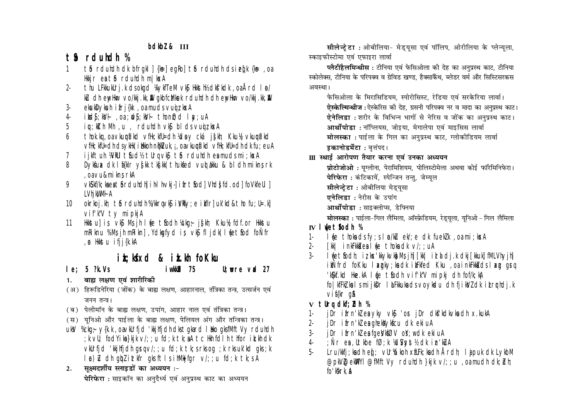bdkbl & III

# $t$  *f*  $s$  rduhdh  $\%$

- the rdundn dk bfrakl | {k = earol the rdundn ds i eqk {k = , oa  $\mathbf{1}$ Hkir ea tô rduhdh mlkxA
- thu LFkkukUrj.k dsokgd WykfTeM vk\$ Hkksth½ dk\$'kdk, oaÅrd I n/  $2$ ku dh enythar vo/kkj.kk, kk qkbfcMkek rduhdh dh enythar vo/kkj.kk, kk
- ekukDykuh ifri{kk, oa muds vuojz ksa  $\mathcal{E}$
- ikds; kV+, oa; uds; kV+ thon0; d I ay; uA  $\overline{4}$
- ju: kith Mh, u, rduhdh vkj blds vuiz kxA 5
- thok.kg, oa vkupá'kd vflk; kfl=dh ½dov cká jskh; Kku½ vkupá'kd  $\mathsf{h}$ vfHk; kfU=dh dsykHk( i Hkkoh n@kVuk, j , oavkupfi'kd vfHk; kfU=dh dk fu; euA
- iikftuh XVNUI tSud1% tUrq vkS tS rduhdh es muds mi; kxA  $\overline{7}$
- Dykfux dk I f{kIr y{kk tkfkk(thukfed vud tkku & bl dh mikn; rk 8 , oa vu&mi kns rkA
- VIS If /k; kaea t for dundhi i h-l h-vkj-i i fr t fodi Vhd; fd.odi fo VIfeUI i 9 LVhi kWMI A
- okrkoj.kh; tô rduhdh %/kkrqvk\$ iVkty; e ikflr] uk'kd&tho fu; U=.k]  $10<sup>°</sup>$ vif'k"V ty mipkiA
- Hkkstul is vks Ms ih I vie tsodh Vckg; jskh; Kkul fdf.or Hkkstu  $11$ mRiknu %Ms jh mRikn], Ydkgfyd is vk\$ fl jdk( l wet fod fo Nfr , @ Hkkstu ifjj{k.kA

# ik; kfxd & ik.kh foKku

iwkkid 75

 $le: 5$  ?k.Vs

 $U:$  wre vad 27

- बाह्य लक्षण एवं शारीरिकी  $1.$
- (अ) हिरूडिनेरिया (जोंक) के बाह्य लक्षण, आहारनाल, तंत्रिका तन्त्र, उत्सर्जन एवं जनन तन्त्र।
- (ब) पेलीमॉन के बाह्य लक्षण, उपांग, आहार नाल एवं तंत्रिका तन्त्र।
- (स) यूनिओ और पाईला के बाह्य लक्षण, पेलियल अंग और तन्त्रिका तन्त्र।
- uky %ckg: y{k.k, oavkUrfid 'kkihfidh dkstakard I lko aksfMftVy rduhdh ; k vU; fodYika}kik v/; ; u fd; k tk; aA tc Hh fdl h thfor ik.kh dk vkUrfid 'kkihfidh grov';; u fd; k tk; s rks og ; k rks uk'kd gks; k I a) L ch qbl ittler qks ft I s ihMkjfgr v/; ; u fd; k tk; s A
- सक्ष्मदर्शीय स्लाइडों का अध्ययन :- $2.$ पेरिफेरा : साइकॉन का अनदैर्ध्य एवं अनप्रस्थ काट का अध्ययन

सीलेन्ट्रेटा: ओबीलिया- मेड्यूसा एवं पॉलिप, ओरीलिया के प्लेन्यूला, स्काइफीस्टोमा एवं एफाइरा लार्वा

प्लैटीहैलमिन्थीस: टीनिया एवं फेसिओला की देह का अनुप्रस्थ काट, टीनिया स्कोलेक्स, टीनिया के परिपक्व व ग्रेविड खण्ड, हैक्साकैंथ, ब्लेडर वर्म और सिस्टिसरकस अवस्था।

फेसिओला के मिरासिडियम, स्पोरोसिस्ट, रेडिया एवं सरकेरिया लार्वा। ऐस्केल्मिन्थीज:ऐस्केरिस की देह. ग्रसनी परिपक्व नर व मादा का अनप्रस्थ काट। एेनेलिड़ा : शरीर के विभिन्न भागों से नेरिस व जोंक का अनप्रस्थ काट। आर्थोपोडा : नॉप्लियस, जोइया, मेगालेपा एवं माइसिस लार्वा मोलस्का: पाईला के गिल का अनुप्रस्थ काट, ग्लोकीडियम लार्वा इकानोडर्मेटा : वृत्तंपद।

Ⅲ स्थाई आरोपण तैयार करना एवं उनका अध्ययन

प्रोटोजोओ : युग्लीना, पेरामिशियम, पोलिस्टोमेला अथवा कोई फॉरेमिनिफेरा। **पेरिफेरा** : कंटिकायें. स्पेन्जिन तन्त. जेम्यल

- सीलेन्टेटा : ओबीलिया मेडयसा
- एनेलिडा : नेरीस के उपांग
- आर्थोपोडा : साइक्लोप्स, डेफ्निया

मोलस्का: पाईला-गिल लैमिला, ऑस्फ्रेडियम, रेड्यूला, यूनिओ - गिल लैमिला

### IV lwetsodh %

- luje thoka ds fy; s I p/ku ek/; e dk fuek/k , oa mi; kxA  $1 -$
- [kk] inkFkka ea live thoka dk v/: : uA  $\mathfrak{D}$
- $\mathcal{E}$ I wetfodh; iz kx'kkykyky Ms jh [kk| idddi.k dkj [kkuk] fMLVhyjh] ikÑfrd fokku I xaky; ka dk ikFkfed Kku, oa i nkFkka ds I xa gra 'k\$kf.kd Hke.kA I (e t\$odh vif'k"V mipkj dh fof/k;kA folkfFkZ kalsmijkDr laFkkukadsvovkdu dhfjikVZ dk itrrhdj.k vif{kr q&
- v tUra dkf: bh %
- jDr ifrn'klea yky vký 'or jDr dký'kdkvka dh x.kukA 1.
- jDr ifrn'kl en ghekkykfcu dk ekiuA  $2 -$
- jDr ifrn'WeafgeVktØV oY; w clk ekiuA  $\overline{3}$
- : Nr ea, Utkbe fØ; k ½dSyst½ dk in kuA  $\overline{4}$
- $5 -$ Lru/khij; ka dh ed; vlrkókoh xflFk; ka dh Årdh; I a puk dk LykbM @pl\/@el\Y|@fMftVy rduldh }kik v/;; u , oa mudh dk; blh; fo'kkrk. A